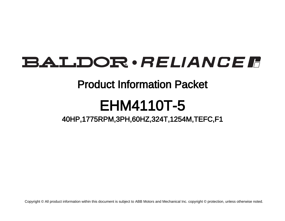# **BALDOR** · RELIANCE F

### Product Information Packet

# EHM4110T-5

### 40HP,1775RPM,3PH,60HZ,324T,1254M,TEFC,F1

Copyright © All product information within this document is subject to ABB Motors and Mechanical Inc. copyright © protection, unless otherwise noted.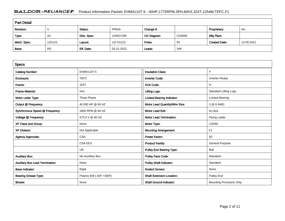#### BALDOR · RELIANCE F Product Information Packet: EHM4110T-5 - 40HP,1775RPM,3PH,60HZ,324T,1254M,TEFC,F1

| <b>Part Detail</b> |           |             |            |             |        |                      |            |  |
|--------------------|-----------|-------------|------------|-------------|--------|----------------------|------------|--|
| Revision:          |           | Status:     | PRD/A      | Change #:   |        | Proprietary:         | No         |  |
| Type:              | AC        | Elec. Spec: | 12WGY285   | CD Diagram: | CD0006 | Mfg Plant:           |            |  |
| Mech. Spec:        | 12G122    | Layout:     | 12LYG122   | Poles:      | 04     | <b>Created Date:</b> | 12-05-2011 |  |
| Base:              | <b>RG</b> | Eff. Date:  | 02-21-2022 | Leads:      | 3#8    |                      |            |  |

| <b>Specs</b>                           |                         |                                  |                              |
|----------------------------------------|-------------------------|----------------------------------|------------------------------|
| <b>Catalog Number:</b>                 | EHM4110T-5              | <b>Insulation Class:</b>         | F                            |
| Enclosure:                             | <b>TEFC</b>             | <b>Inverter Code:</b>            | <b>Inverter Ready</b>        |
| Frame:                                 | 324T                    | <b>KVA Code:</b>                 | H                            |
| <b>Frame Material:</b>                 | Iron                    | <b>Lifting Lugs:</b>             | <b>Standard Lifting Lugs</b> |
| Motor Letter Type:                     | Three Phase             | Locked Bearing Indicator:        | Locked Bearing               |
| Output @ Frequency:                    | 40.000 HP @ 60 HZ       | Motor Lead Quantity/Wire Size:   | 3 @ 8 AWG                    |
| Synchronous Speed @ Frequency:         | 1800 RPM @ 60 HZ        | <b>Motor Lead Exit:</b>          | Ko Box                       |
| Voltage @ Frequency:                   | 575.0 V @ 60 HZ         | <b>Motor Lead Termination:</b>   | Flying Leads                 |
| XP Class and Group:                    | None                    | Motor Type:                      | 1254M                        |
| <b>XP Division:</b>                    | Not Applicable          | <b>Mounting Arrangement:</b>     | F1                           |
| <b>Agency Approvals:</b>               | <b>CSA</b>              | <b>Power Factor:</b>             | 82                           |
|                                        | <b>CSA EEV</b>          | <b>Product Family:</b>           | <b>General Purpose</b>       |
|                                        | <b>UR</b>               | <b>Pulley End Bearing Type:</b>  | Ball                         |
| <b>Auxillary Box:</b>                  | No Auxillary Box        | <b>Pulley Face Code:</b>         | Standard                     |
| <b>Auxillary Box Lead Termination:</b> | None                    | <b>Pulley Shaft Indicator:</b>   | Standard                     |
| <b>Base Indicator:</b>                 | Rigid                   | <b>Rodent Screen:</b>            | None                         |
| <b>Bearing Grease Type:</b>            | Polyrex EM (-20F +300F) | <b>Shaft Extension Location:</b> | <b>Pulley End</b>            |
| Blower:                                | None                    | <b>Shaft Ground Indicator:</b>   | Mounting Provisions Only     |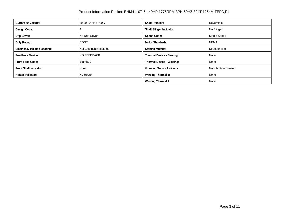| Current @ Voltage:                    | 39.000 A @ 575.0 V        | <b>Shaft Rotation:</b>             | Reversible          |
|---------------------------------------|---------------------------|------------------------------------|---------------------|
| Design Code:                          | $\mathsf{A}$              | <b>Shaft Slinger Indicator:</b>    | No Slinger          |
| Drip Cover:                           | No Drip Cover             | <b>Speed Code:</b>                 | Single Speed        |
| Duty Rating:                          | <b>CONT</b>               | <b>Motor Standards:</b>            | <b>NEMA</b>         |
| <b>Electrically Isolated Bearing:</b> | Not Electrically Isolated | <b>Starting Method:</b>            | Direct on line      |
| <b>Feedback Device:</b>               | <b>NO FEEDBACK</b>        | <b>Thermal Device - Bearing:</b>   | None                |
| <b>Front Face Code:</b>               | Standard                  | <b>Thermal Device - Winding:</b>   | None                |
| <b>Front Shaft Indicator:</b>         | None                      | <b>Vibration Sensor Indicator:</b> | No Vibration Sensor |
| <b>Heater Indicator:</b>              | No Heater                 | <b>Winding Thermal 1:</b>          | None                |
|                                       |                           | <b>Winding Thermal 2:</b>          | None                |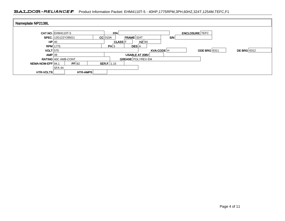#### BALDOR · RELIANCE F Product Information Packet: EHM4110T-5 - 40HP,1775RPM,3PH,60HZ,324T,1254M,TEFC,F1

| Nameplate NP2138L |                            |                           |            |                       |                    |
|-------------------|----------------------------|---------------------------|------------|-----------------------|--------------------|
|                   | <b>CAT.NO. EHM4110T-5</b>  | P/N                       |            | <b>ENCLOSURE</b> TEFC |                    |
|                   | <b>SPEC.</b> 12G122Y285G1  | $FRAME$ 324T<br>$CC$ 010A | S/N        |                       |                    |
| HP 40             |                            | <b>CLASS</b> F            | $HZ$ 60    |                       |                    |
|                   | $RPM$ 1775                 | PH 3<br><b>DES</b> A      |            |                       |                    |
| $VOLT$ 575        |                            |                           | KVA-CODE H | <b>ODE BRG</b> 6311   | <b>DE BRG</b> 6312 |
| $AMP$ 39          |                            | USABLE AT 208V            |            |                       |                    |
|                   | <b>RATING 40C AMB-CONT</b> | <b>GREASE POLYREX EM</b>  |            |                       |                    |
| NEMA-NOM-EFF 94.1 | PF 82                      | <b>SER.F.</b>   1.15      |            |                       |                    |
|                   | SFA 44                     |                           |            |                       |                    |
| <b>HTR-VOLTS</b>  | HTR-AMPS                   |                           |            |                       |                    |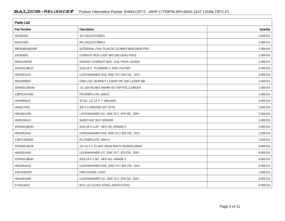| <b>Parts List</b>  |                                           |          |  |  |  |
|--------------------|-------------------------------------------|----------|--|--|--|
| <b>Part Number</b> | Description                               | Quantity |  |  |  |
| SA235201           | SA 12G122Y285G1                           | 1.000 EA |  |  |  |
| RA222163           | RA 12G122Y285G1                           | 1.000 EA |  |  |  |
| 09FN3001B03SP      | EXTERNAL FAN, PLASTIC (COMES W/SCREW FRO  | 1.000 EA |  |  |  |
| 10CB3001           | CONDUIT BOX CAST W/2.500 LEAD HOLE        | 1.000 EA |  |  |  |
| 09GS1000SP         | GASKET-CONDUIT BOX, 1/16 THICK LEXIDE     | 1.000 EA |  |  |  |
| 10XN3118K12        | 5/16-18 X .75 GRADE 5, ZINC PLATED        | 4.000 EA |  |  |  |
| HW1001A31          | LOCKWASHER 5/16, ZINC PLT.591 OD, .319 I  | 4.000 EA |  |  |  |
| WD1000B25          | GND LUG, BURNDY L125HP OR T&B L125HP-BB   | 1.000 EA |  |  |  |
| 19XW3118G08        | .31-18X.50, HEX WSHR HD, TAPTITE 2, GREEN | 1.000 EA |  |  |  |
| 12EP1107A05        | FR ENDPLATE, MACH                         | 1.000 EA |  |  |  |
| HA3400A13          | STUD, 1/2-13 X 7" WELKER                  | 4.000 EA |  |  |  |
| HA4017A01          | 1/8 X 4 GREASE EXT (F/S)                  | 1.000 EA |  |  |  |
| HW1001A50          | LOCKWASHER 1/2, ZINC PLT, 879 OD, .509 I  | 4.000 EA |  |  |  |
| HW5100A13          | W4627-047 WVY WSHER                       | 1.000 EA |  |  |  |
| 10XN3118K40        | 5/16-18 X 2.25" HEX HD, GRADE 5           | 2.000 EA |  |  |  |
| HW1001A31          | LOCKWASHER 5/16, ZINC PLT.591 OD, .319 I  | 2.000 EA |  |  |  |
| 12EP1106A69        | PU ENDPLATE, MACH                         | 1.000 EA |  |  |  |
| 10XN5013K28        | 1/2-13 X 1.75 HEX HEAD MACH SCREW, GRAD   | 4.000 EA |  |  |  |
| HW1001A50          | LOCKWASHER 1/2, ZINC PLT, 879 OD, .509 I  | 4.000 EA |  |  |  |
| 10XN3118K40        | 5/16-18 X 2.50" HEX HD, GRADE 5           | 4.000 EA |  |  |  |
| HW1001A31          | LOCKWASHER 5/16, ZINC PLT.591 OD, .319 I  | 4.000 EA |  |  |  |
| 12FH1002SP         | FAN COVER, CAST                           | 1.000 EA |  |  |  |
| HW1001A50          | LOCKWASHER 1/2, ZINC PLT, 879 OD, .509 I  | 4.000 EA |  |  |  |
| XY5013A12          | NUT, 1/2-13, HEX, STEEL, ZINCPLATED       | 4.000 EA |  |  |  |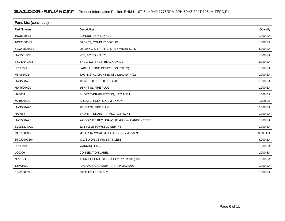| <b>Parts List (continued)</b> |                                          |          |  |  |  |
|-------------------------------|------------------------------------------|----------|--|--|--|
| <b>Part Number</b>            | Description                              | Quantity |  |  |  |
| 10CB3500SP                    | CONDUIT BOX LID, CAST                    | 1.000 EA |  |  |  |
| 10GS1000SP                    | GASKET, CONDUIT BOX LID                  | 1.000 EA |  |  |  |
| 51XW2520A12                   | .25-20 X .75, TAPTITE II, HEX WSHR SLTD  | 4.000 EA |  |  |  |
| HW2501H33                     | KEY, 1/2 SQ X 3.875                      | 1.000 EA |  |  |  |
| 84XN0540J08                   | 5-40 X 1/2" SHCS, BLACK OXIDE            | 2.000 EA |  |  |  |
| LB1115N                       | LABEL, LIFTING DEVICE (ON ROLLS)         | 1.000 EA |  |  |  |
| MN416A01                      | TAG-INSTAL-MAINT no wire (2100/bx) 4/22  | 1.000 EA |  |  |  |
| HW4500A35                     | 1/8 NPT STEEL .50 HEX CAP                | 1.000 EA |  |  |  |
| HW4500A20                     | 1/8NPT SL PIPE PLUG                      | 1.000 EA |  |  |  |
| HA4054                        | SHORT T-DRAIN FITTING, .125" N.P.T.      | 1.000 EA |  |  |  |
| MJ1000A02                     | GREASE, POLYREX EM EXXON                 | 0.200 LB |  |  |  |
| HW4500A20                     | 1/8NPT SL PIPE PLUG                      | 2.000 EA |  |  |  |
| HA4054                        | SHORT T-DRAIN FITTING, .125" N.P.T.      | 1.000 EA |  |  |  |
| HW2500A25                     | WOODRUFF KEY USA #1008 #BLOW CARBON STEE | 1.000 EA |  |  |  |
| 51XB1214A20                   | 12-14X1.25 HXWSSLD SERTYB                | 1.000 EA |  |  |  |
| MG1000G27                     | MED CHARCOAL METALLIC GREY 400-0096      | 0.080 GA |  |  |  |
| 85XU0407S04                   | 4X1/4 U DRIVE PIN STAINLESS              | 4.000 EA |  |  |  |
| LB1119N                       | <b>WARNING LABEL</b>                     | 1.000 EA |  |  |  |
| LC0006                        | <b>CONNECTION LABEL</b>                  | 1.000 EA |  |  |  |
| <b>NP2138L</b>                | ALUM SUPER-E UL CSA-EEV PREM CC (300     | 1.000 EA |  |  |  |
| 12PA1000                      | PACKAGING GROUP PRINT PK1024A07          | 1.000 EA |  |  |  |
| FE-0000022                    | ZRTG FE ASSEMBLY                         | 1.000 EA |  |  |  |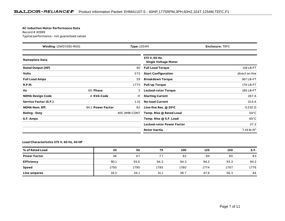#### **AC Induction Motor Performance Data**

Record # 30999Typical performance - not guaranteed values

| Winding: 12WGY285-R001<br><b>Type: 1254M</b> |                   | <b>Enclosure: TEFC</b> |                                              |                 |
|----------------------------------------------|-------------------|------------------------|----------------------------------------------|-----------------|
| <b>Nameplate Data</b>                        |                   |                        | 575 V, 60 Hz:<br><b>Single Voltage Motor</b> |                 |
| <b>Rated Output (HP)</b>                     |                   | 40                     | <b>Full Load Torque</b>                      | 118 LB-FT       |
| <b>Volts</b>                                 |                   | 575                    | <b>Start Configuration</b>                   | direct on line  |
| <b>Full Load Amps</b>                        |                   | 39                     | <b>Breakdown Torque</b>                      | 367 LB-FT       |
| <b>R.P.M.</b>                                |                   | 1775                   | <b>Pull-up Torque</b>                        | 174 LB-FT       |
| Hz                                           | 60 Phase          | 3                      | <b>Locked-rotor Torque</b>                   | 185 LB-FT       |
| <b>NEMA Design Code</b>                      | A KVA Code        | н                      | <b>Starting Current</b>                      | 267 A           |
| Service Factor (S.F.)                        |                   | 1.15                   | <b>No-load Current</b>                       | 15.6 A          |
| <b>NEMA Nom. Eff.</b>                        | 94.1 Power Factor | 82                     | Line-line Res. @ 25°C                        | $0.232\ \Omega$ |
| <b>Rating - Duty</b>                         |                   | 40C AMB-CONT           | Temp. Rise @ Rated Load                      | $54^{\circ}$ C  |
| S.F. Amps                                    |                   |                        | Temp. Rise @ S.F. Load                       | $65^{\circ}$ C  |
|                                              |                   |                        | Locked-rotor Power Factor                    | 27.2            |
|                                              |                   |                        | <b>Rotor inertia</b>                         | 7.19 lb- $ft^2$ |

#### **Load Characteristics 575 V, 60 Hz, 40 HP**

| % of Rated Load     | 25   | 50   | 75   | 100  | 125  | 150  | S.F. |
|---------------------|------|------|------|------|------|------|------|
| <b>Power Factor</b> | 46   | 67   | 77   | 82   | 84   | 85   | 83   |
| <b>Efficiency</b>   | 90.1 | 93.6 | 94.3 | 94.3 | 94.2 | 93.3 | 94.2 |
| <b>Speed</b>        | 1795 | 1790 | 1785 | 1780 | 1774 | 1767 | 1776 |
| Line amperes        | 18.3 | 24.1 | 31.1 | 38.7 | 47.6 | 56.3 | 44   |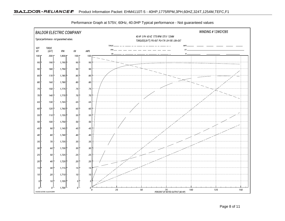

Performance Graph at 575V, 60Hz, 40.0HP Typical performance - Not guaranteed values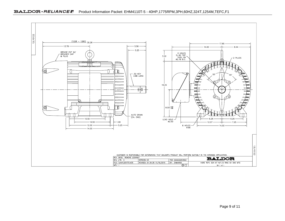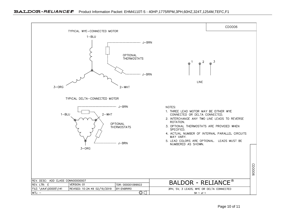